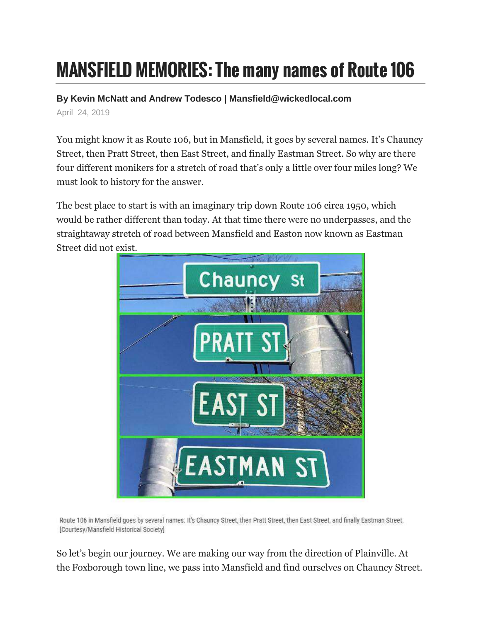## MANSFIELD MEMORIES: The many names of Route 106

**By Kevin McNatt and Andrew Todesco | Mansfield@wickedlocal.com**

April 24, 2019

You might know it as Route 106, but in Mansfield, it goes by several names. It's Chauncy Street, then Pratt Street, then East Street, and finally Eastman Street. So why are there four different monikers for a stretch of road that's only a little over four miles long? We must look to history for the answer.

The best place to start is with an imaginary trip down Route 106 circa 1950, which would be rather different than today. At that time there were no underpasses, and the straightaway stretch of road between Mansfield and Easton now known as Eastman Street did not exist.



Route 106 in Mansfield goes by several names. It's Chauncy Street, then Pratt Street, then East Street, and finally Eastman Street. [Courtesy/Mansfield Historical Society]

So let's begin our journey. We are making our way from the direction of Plainville. At the Foxborough town line, we pass into Mansfield and find ourselves on Chauncy Street.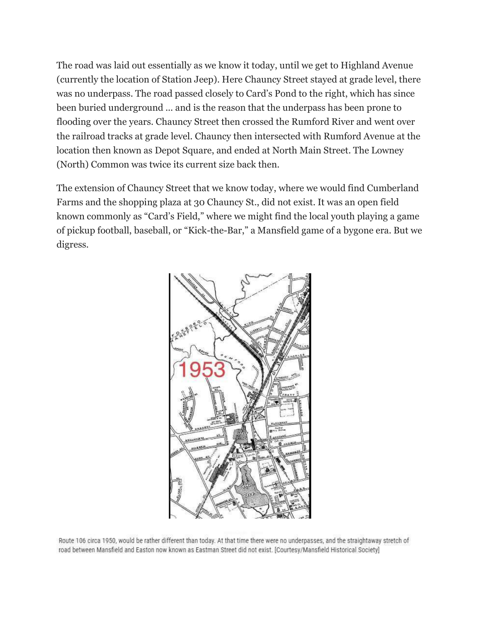The road was laid out essentially as we know it today, until we get to Highland Avenue (currently the location of Station Jeep). Here Chauncy Street stayed at grade level, there was no underpass. The road passed closely to Card's Pond to the right, which has since been buried underground ... and is the reason that the underpass has been prone to flooding over the years. Chauncy Street then crossed the Rumford River and went over the railroad tracks at grade level. Chauncy then intersected with Rumford Avenue at the location then known as Depot Square, and ended at North Main Street. The Lowney (North) Common was twice its current size back then.

The extension of Chauncy Street that we know today, where we would find Cumberland Farms and the shopping plaza at 30 Chauncy St., did not exist. It was an open field known commonly as "Card's Field," where we might find the local youth playing a game of pickup football, baseball, or "Kick-the-Bar," a Mansfield game of a bygone era. But we digress.



Route 106 circa 1950, would be rather different than today. At that time there were no underpasses, and the straightaway stretch of road between Mansfield and Easton now known as Eastman Street did not exist. [Courtesy/Mansfield Historical Society]